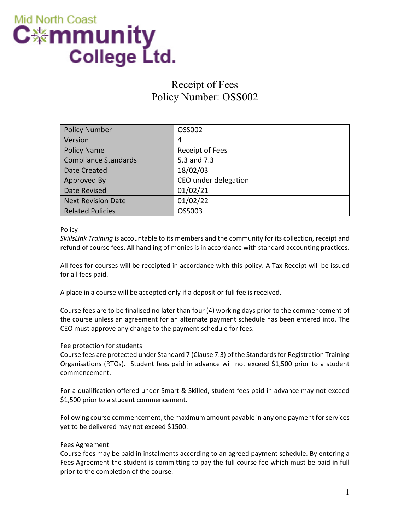

# Receipt of Fees Policy Number: OSS002

| <b>Policy Number</b>        | OSS002               |
|-----------------------------|----------------------|
| Version                     | 4                    |
| <b>Policy Name</b>          | Receipt of Fees      |
| <b>Compliance Standards</b> | 5.3 and 7.3          |
| Date Created                | 18/02/03             |
| Approved By                 | CEO under delegation |
| Date Revised                | 01/02/21             |
| <b>Next Revision Date</b>   | 01/02/22             |
| <b>Related Policies</b>     | OSS003               |

Policy

*SkillsLink Training* is accountable to its members and the community for its collection, receipt and refund of course fees. All handling of monies is in accordance with standard accounting practices.

All fees for courses will be receipted in accordance with this policy. A Tax Receipt will be issued for all fees paid.

A place in a course will be accepted only if a deposit or full fee is received.

Course fees are to be finalised no later than four (4) working days prior to the commencement of the course unless an agreement for an alternate payment schedule has been entered into. The CEO must approve any change to the payment schedule for fees.

### Fee protection for students

Course fees are protected under Standard 7 (Clause 7.3) of the Standards for Registration Training Organisations (RTOs). Student fees paid in advance will not exceed \$1,500 prior to a student commencement.

For a qualification offered under Smart & Skilled, student fees paid in advance may not exceed \$1,500 prior to a student commencement.

Following course commencement, the maximum amount payable in any one payment for services yet to be delivered may not exceed \$1500.

#### Fees Agreement

Course fees may be paid in instalments according to an agreed payment schedule. By entering a Fees Agreement the student is committing to pay the full course fee which must be paid in full prior to the completion of the course.